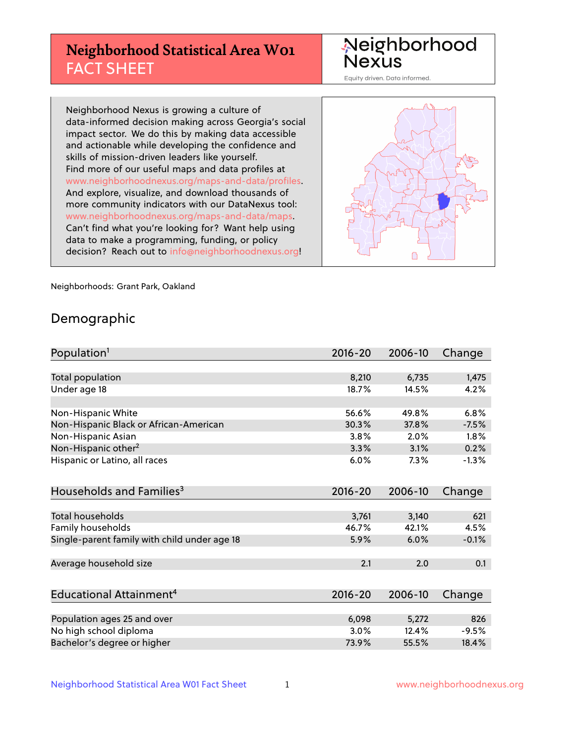# **Neighborhood Statistical Area W01** FACT SHEET

Neighborhood Nexus

Equity driven. Data informed.

Neighborhood Nexus is growing a culture of data-informed decision making across Georgia's social impact sector. We do this by making data accessible and actionable while developing the confidence and skills of mission-driven leaders like yourself. Find more of our useful maps and data profiles at www.neighborhoodnexus.org/maps-and-data/profiles. And explore, visualize, and download thousands of more community indicators with our DataNexus tool: www.neighborhoodnexus.org/maps-and-data/maps. Can't find what you're looking for? Want help using data to make a programming, funding, or policy decision? Reach out to [info@neighborhoodnexus.org!](mailto:info@neighborhoodnexus.org)



Neighborhoods: Grant Park, Oakland

### Demographic

| Population <sup>1</sup>                      | $2016 - 20$ | 2006-10 | Change  |
|----------------------------------------------|-------------|---------|---------|
|                                              |             |         |         |
| Total population                             | 8,210       | 6,735   | 1,475   |
| Under age 18                                 | 18.7%       | 14.5%   | 4.2%    |
|                                              |             |         |         |
| Non-Hispanic White                           | 56.6%       | 49.8%   | 6.8%    |
| Non-Hispanic Black or African-American       | 30.3%       | 37.8%   | $-7.5%$ |
| Non-Hispanic Asian                           | 3.8%        | 2.0%    | 1.8%    |
| Non-Hispanic other <sup>2</sup>              | 3.3%        | 3.1%    | 0.2%    |
| Hispanic or Latino, all races                | 6.0%        | 7.3%    | $-1.3%$ |
|                                              |             |         |         |
| Households and Families <sup>3</sup>         | $2016 - 20$ | 2006-10 | Change  |
|                                              |             |         |         |
| <b>Total households</b>                      | 3,761       | 3,140   | 621     |
| Family households                            | 46.7%       | 42.1%   | 4.5%    |
| Single-parent family with child under age 18 | 5.9%        | 6.0%    | $-0.1%$ |
|                                              |             |         |         |
| Average household size                       | 2.1         | 2.0     | 0.1     |
|                                              |             |         |         |
| Educational Attainment <sup>4</sup>          | $2016 - 20$ | 2006-10 | Change  |
|                                              |             |         |         |
| Population ages 25 and over                  | 6,098       | 5,272   | 826     |
| No high school diploma                       | 3.0%        | 12.4%   | $-9.5%$ |
| Bachelor's degree or higher                  | 73.9%       | 55.5%   | 18.4%   |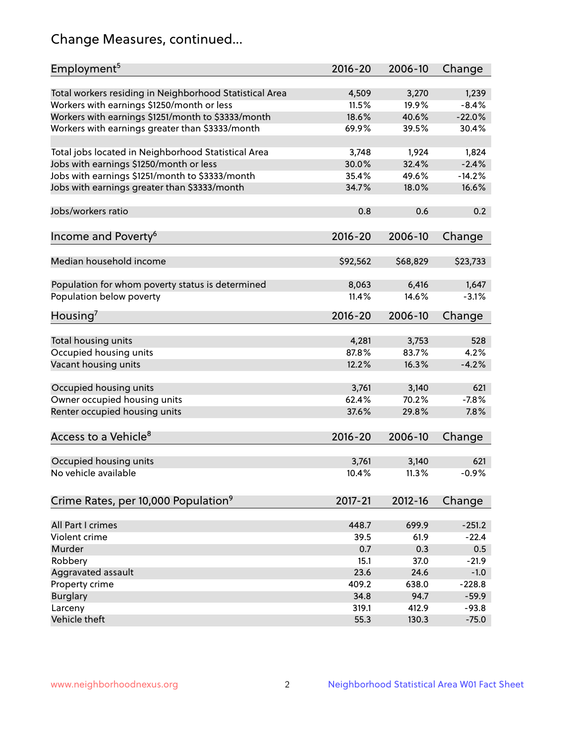# Change Measures, continued...

| Employment <sup>5</sup>                                 | $2016 - 20$    | 2006-10        | Change           |
|---------------------------------------------------------|----------------|----------------|------------------|
|                                                         |                |                |                  |
| Total workers residing in Neighborhood Statistical Area | 4,509<br>11.5% | 3,270<br>19.9% | 1,239<br>$-8.4%$ |
| Workers with earnings \$1250/month or less              | 18.6%          |                |                  |
| Workers with earnings \$1251/month to \$3333/month      |                | 40.6%<br>39.5% | $-22.0%$         |
| Workers with earnings greater than \$3333/month         | 69.9%          |                | 30.4%            |
| Total jobs located in Neighborhood Statistical Area     | 3,748          | 1,924          | 1,824            |
| Jobs with earnings \$1250/month or less                 | 30.0%          | 32.4%          | $-2.4%$          |
| Jobs with earnings \$1251/month to \$3333/month         | 35.4%          | 49.6%          | $-14.2%$         |
| Jobs with earnings greater than \$3333/month            | 34.7%          | 18.0%          | 16.6%            |
|                                                         |                |                |                  |
| Jobs/workers ratio                                      | 0.8            | 0.6            | 0.2              |
|                                                         |                |                |                  |
| Income and Poverty <sup>6</sup>                         | 2016-20        | 2006-10        | Change           |
|                                                         |                |                |                  |
| Median household income                                 | \$92,562       | \$68,829       | \$23,733         |
|                                                         |                |                |                  |
| Population for whom poverty status is determined        | 8,063          | 6,416          | 1,647            |
| Population below poverty                                | 11.4%          | 14.6%          | $-3.1%$          |
| Housing'                                                | $2016 - 20$    | 2006-10        | Change           |
|                                                         |                |                |                  |
| Total housing units                                     | 4,281          | 3,753          | 528              |
| Occupied housing units                                  | 87.8%          | 83.7%          | 4.2%             |
| Vacant housing units                                    | 12.2%          | 16.3%          | $-4.2%$          |
|                                                         |                |                |                  |
| Occupied housing units                                  | 3,761          | 3,140          | 621              |
| Owner occupied housing units                            | 62.4%          | 70.2%          | $-7.8%$          |
| Renter occupied housing units                           | 37.6%          | 29.8%          | 7.8%             |
|                                                         |                |                |                  |
| Access to a Vehicle <sup>8</sup>                        | $2016 - 20$    | 2006-10        | Change           |
|                                                         |                |                |                  |
| Occupied housing units<br>No vehicle available          | 3,761          | 3,140          | 621              |
|                                                         | 10.4%          | 11.3%          | $-0.9%$          |
| Crime Rates, per 10,000 Population <sup>9</sup>         | 2017-21        | 2012-16        | Change           |
|                                                         |                |                |                  |
| All Part I crimes                                       | 448.7          | 699.9          | $-251.2$         |
| Violent crime                                           | 39.5           | 61.9           | $-22.4$          |
| Murder                                                  | 0.7            | 0.3            | 0.5              |
| Robbery                                                 | 15.1           | 37.0           | $-21.9$          |
| Aggravated assault                                      | 23.6           | 24.6           | $-1.0$           |
| Property crime                                          | 409.2          | 638.0          | $-228.8$         |
| <b>Burglary</b>                                         | 34.8           | 94.7           | $-59.9$          |
| Larceny                                                 | 319.1          | 412.9          | $-93.8$          |
| Vehicle theft                                           | 55.3           | 130.3          | $-75.0$          |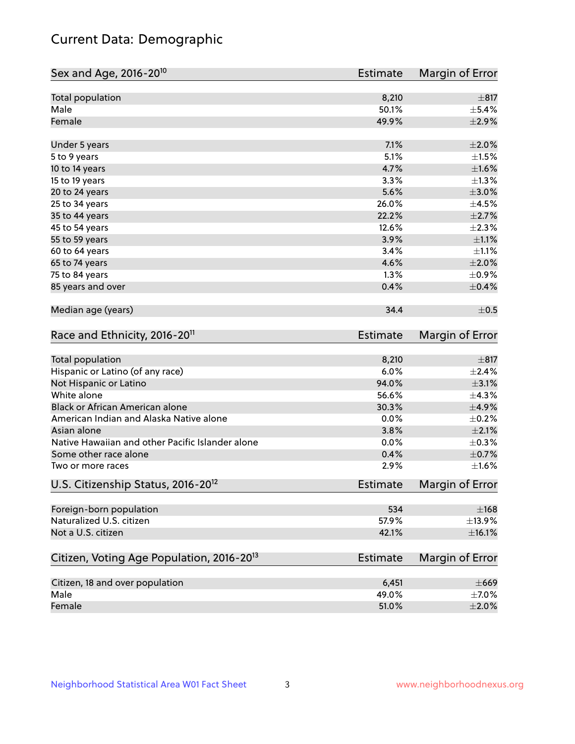# Current Data: Demographic

| Sex and Age, 2016-20 <sup>10</sup>                    | <b>Estimate</b> | Margin of Error |
|-------------------------------------------------------|-----------------|-----------------|
| Total population                                      | 8,210           | $\pm$ 817       |
| Male                                                  | 50.1%           | $\pm$ 5.4%      |
| Female                                                | 49.9%           | $\pm 2.9\%$     |
| Under 5 years                                         | 7.1%            | $\pm 2.0\%$     |
| 5 to 9 years                                          | 5.1%            | $\pm1.5\%$      |
| 10 to 14 years                                        | 4.7%            | $\pm1.6\%$      |
| 15 to 19 years                                        | 3.3%            | $\pm 1.3\%$     |
| 20 to 24 years                                        | 5.6%            | $\pm 3.0\%$     |
| 25 to 34 years                                        | 26.0%           | $\pm$ 4.5%      |
| 35 to 44 years                                        | 22.2%           | $\pm 2.7\%$     |
| 45 to 54 years                                        | 12.6%           | $\pm 2.3\%$     |
| 55 to 59 years                                        | 3.9%            | $\pm 1.1\%$     |
| 60 to 64 years                                        | 3.4%            | $\pm 1.1\%$     |
| 65 to 74 years                                        | 4.6%            | ±2.0%           |
| 75 to 84 years                                        | 1.3%            | $\pm$ 0.9%      |
| 85 years and over                                     | 0.4%            | $\pm$ 0.4%      |
| Median age (years)                                    | 34.4            | $\pm$ 0.5       |
| Race and Ethnicity, 2016-20 <sup>11</sup>             | <b>Estimate</b> | Margin of Error |
| <b>Total population</b>                               | 8,210           | $\pm$ 817       |
| Hispanic or Latino (of any race)                      | 6.0%            | ±2.4%           |
| Not Hispanic or Latino                                | 94.0%           | $\pm$ 3.1%      |
| White alone                                           | 56.6%           | ±4.3%           |
| Black or African American alone                       | 30.3%           | $\pm$ 4.9%      |
| American Indian and Alaska Native alone               | 0.0%            | $\pm$ 0.2%      |
| Asian alone                                           | 3.8%            | $\pm 2.1\%$     |
| Native Hawaiian and other Pacific Islander alone      | 0.0%            | $\pm$ 0.3%      |
| Some other race alone                                 | 0.4%            | $\pm$ 0.7%      |
| Two or more races                                     | 2.9%            | $\pm1.6\%$      |
| U.S. Citizenship Status, 2016-20 <sup>12</sup>        | <b>Estimate</b> | Margin of Error |
| Foreign-born population                               | 534             | $\pm$ 168       |
| Naturalized U.S. citizen                              | 57.9%           | ±13.9%          |
| Not a U.S. citizen                                    | 42.1%           | ±16.1%          |
| Citizen, Voting Age Population, 2016-20 <sup>13</sup> | <b>Estimate</b> | Margin of Error |
| Citizen, 18 and over population                       | 6,451           | $\pm 669$       |
| Male                                                  | 49.0%           | $\pm$ 7.0%      |
| Female                                                | 51.0%           | $\pm 2.0\%$     |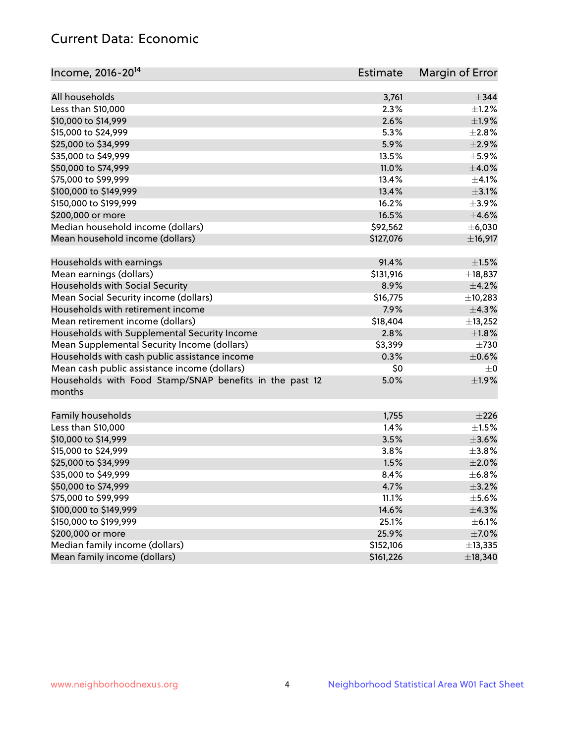# Current Data: Economic

| Income, 2016-20 <sup>14</sup>                           | Estimate  | Margin of Error |
|---------------------------------------------------------|-----------|-----------------|
|                                                         |           |                 |
| All households                                          | 3,761     | $\pm$ 344       |
| Less than \$10,000                                      | 2.3%      | $\pm 1.2\%$     |
| \$10,000 to \$14,999                                    | 2.6%      | $\pm 1.9\%$     |
| \$15,000 to \$24,999                                    | 5.3%      | $\pm 2.8\%$     |
| \$25,000 to \$34,999                                    | 5.9%      | $\pm 2.9\%$     |
| \$35,000 to \$49,999                                    | 13.5%     | $\pm$ 5.9%      |
| \$50,000 to \$74,999                                    | 11.0%     | $\pm 4.0\%$     |
| \$75,000 to \$99,999                                    | 13.4%     | $\pm 4.1\%$     |
| \$100,000 to \$149,999                                  | 13.4%     | $\pm$ 3.1%      |
| \$150,000 to \$199,999                                  | 16.2%     | $\pm$ 3.9%      |
| \$200,000 or more                                       | 16.5%     | $\pm 4.6\%$     |
| Median household income (dollars)                       | \$92,562  | ± 6,030         |
| Mean household income (dollars)                         | \$127,076 | ±16,917         |
| Households with earnings                                | 91.4%     | $\pm 1.5\%$     |
| Mean earnings (dollars)                                 | \$131,916 | $\pm$ 18,837    |
| Households with Social Security                         | 8.9%      | $\pm$ 4.2%      |
| Mean Social Security income (dollars)                   | \$16,775  | ±10,283         |
| Households with retirement income                       | 7.9%      | ±4.3%           |
| Mean retirement income (dollars)                        | \$18,404  | ±13,252         |
| Households with Supplemental Security Income            | 2.8%      | $\pm1.8\%$      |
| Mean Supplemental Security Income (dollars)             | \$3,399   | $\pm 730$       |
| Households with cash public assistance income           | 0.3%      | $\pm$ 0.6%      |
| Mean cash public assistance income (dollars)            | \$0       | $\pm 0$         |
| Households with Food Stamp/SNAP benefits in the past 12 | 5.0%      | ±1.9%           |
| months                                                  |           |                 |
| Family households                                       | 1,755     | $\pm 226$       |
| Less than \$10,000                                      | 1.4%      | $\pm 1.5\%$     |
| \$10,000 to \$14,999                                    | 3.5%      | $\pm 3.6\%$     |
| \$15,000 to \$24,999                                    | 3.8%      | $\pm$ 3.8%      |
| \$25,000 to \$34,999                                    | 1.5%      | $\pm 2.0\%$     |
| \$35,000 to \$49,999                                    | 8.4%      | ±6.8%           |
| \$50,000 to \$74,999                                    | 4.7%      | $\pm$ 3.2%      |
| \$75,000 to \$99,999                                    | 11.1%     | $\pm$ 5.6%      |
| \$100,000 to \$149,999                                  | 14.6%     | ±4.3%           |
| \$150,000 to \$199,999                                  | 25.1%     | $\pm$ 6.1%      |
| \$200,000 or more                                       | 25.9%     | $\pm$ 7.0%      |
| Median family income (dollars)                          | \$152,106 | ±13,335         |
| Mean family income (dollars)                            | \$161,226 | ±18,340         |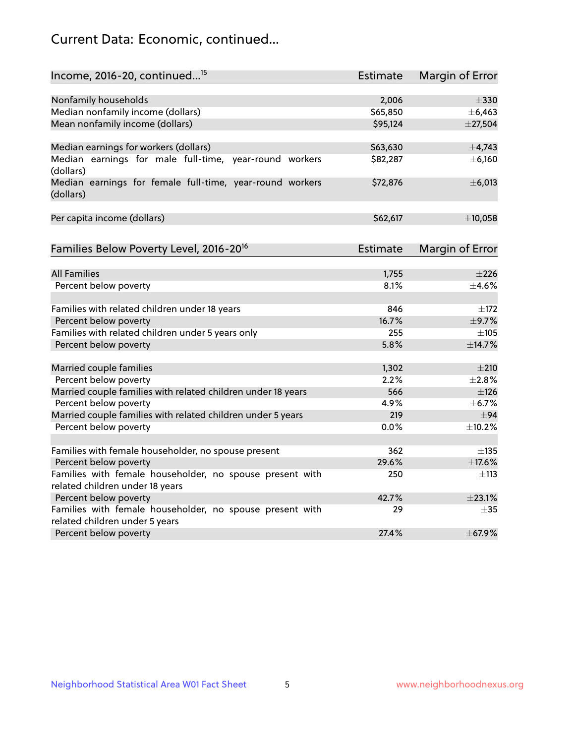# Current Data: Economic, continued...

| Nonfamily households<br>2,006<br>$\pm 330$<br>Median nonfamily income (dollars)<br>\$65,850<br>± 6,463<br>Mean nonfamily income (dollars)<br>\$95,124<br>$±$ 27,504<br>Median earnings for workers (dollars)<br>\$63,630<br>$\pm$ 4,743<br>Median earnings for male full-time, year-round workers<br>\$82,287<br>±6,160<br>(dollars)<br>Median earnings for female full-time, year-round workers<br>±6,013<br>\$72,876<br>(dollars)<br>Per capita income (dollars)<br>\$62,617<br>Families Below Poverty Level, 2016-20 <sup>16</sup><br><b>Estimate</b><br>Margin of Error<br><b>All Families</b><br>1,755<br>Percent below poverty<br>8.1%<br>Families with related children under 18 years<br>846<br>Percent below poverty<br>16.7%<br>$\pm$ 9.7%<br>Families with related children under 5 years only<br>255<br>$\pm 105$<br>5.8%<br>±14.7%<br>Percent below poverty<br>Married couple families<br>1,302<br>$\pm 210$<br>Percent below poverty<br>2.2%<br>Married couple families with related children under 18 years<br>566<br>±126<br>Percent below poverty<br>4.9%<br>Married couple families with related children under 5 years<br>219<br>±94<br>Percent below poverty<br>$0.0\%$<br>362<br>Families with female householder, no spouse present<br>$\pm$ 135<br>29.6%<br>±17.6%<br>Percent below poverty<br>Families with female householder, no spouse present with<br>250<br>±113<br>related children under 18 years | Income, 2016-20, continued <sup>15</sup> | <b>Estimate</b> | Margin of Error |
|----------------------------------------------------------------------------------------------------------------------------------------------------------------------------------------------------------------------------------------------------------------------------------------------------------------------------------------------------------------------------------------------------------------------------------------------------------------------------------------------------------------------------------------------------------------------------------------------------------------------------------------------------------------------------------------------------------------------------------------------------------------------------------------------------------------------------------------------------------------------------------------------------------------------------------------------------------------------------------------------------------------------------------------------------------------------------------------------------------------------------------------------------------------------------------------------------------------------------------------------------------------------------------------------------------------------------------------------------------------------------------------------------------------------------------|------------------------------------------|-----------------|-----------------|
|                                                                                                                                                                                                                                                                                                                                                                                                                                                                                                                                                                                                                                                                                                                                                                                                                                                                                                                                                                                                                                                                                                                                                                                                                                                                                                                                                                                                                                  |                                          |                 |                 |
|                                                                                                                                                                                                                                                                                                                                                                                                                                                                                                                                                                                                                                                                                                                                                                                                                                                                                                                                                                                                                                                                                                                                                                                                                                                                                                                                                                                                                                  |                                          |                 |                 |
|                                                                                                                                                                                                                                                                                                                                                                                                                                                                                                                                                                                                                                                                                                                                                                                                                                                                                                                                                                                                                                                                                                                                                                                                                                                                                                                                                                                                                                  |                                          |                 |                 |
|                                                                                                                                                                                                                                                                                                                                                                                                                                                                                                                                                                                                                                                                                                                                                                                                                                                                                                                                                                                                                                                                                                                                                                                                                                                                                                                                                                                                                                  |                                          |                 |                 |
|                                                                                                                                                                                                                                                                                                                                                                                                                                                                                                                                                                                                                                                                                                                                                                                                                                                                                                                                                                                                                                                                                                                                                                                                                                                                                                                                                                                                                                  |                                          |                 |                 |
|                                                                                                                                                                                                                                                                                                                                                                                                                                                                                                                                                                                                                                                                                                                                                                                                                                                                                                                                                                                                                                                                                                                                                                                                                                                                                                                                                                                                                                  |                                          |                 |                 |
|                                                                                                                                                                                                                                                                                                                                                                                                                                                                                                                                                                                                                                                                                                                                                                                                                                                                                                                                                                                                                                                                                                                                                                                                                                                                                                                                                                                                                                  |                                          |                 |                 |
|                                                                                                                                                                                                                                                                                                                                                                                                                                                                                                                                                                                                                                                                                                                                                                                                                                                                                                                                                                                                                                                                                                                                                                                                                                                                                                                                                                                                                                  |                                          |                 | ±10,058         |
|                                                                                                                                                                                                                                                                                                                                                                                                                                                                                                                                                                                                                                                                                                                                                                                                                                                                                                                                                                                                                                                                                                                                                                                                                                                                                                                                                                                                                                  |                                          |                 |                 |
|                                                                                                                                                                                                                                                                                                                                                                                                                                                                                                                                                                                                                                                                                                                                                                                                                                                                                                                                                                                                                                                                                                                                                                                                                                                                                                                                                                                                                                  |                                          |                 |                 |
|                                                                                                                                                                                                                                                                                                                                                                                                                                                                                                                                                                                                                                                                                                                                                                                                                                                                                                                                                                                                                                                                                                                                                                                                                                                                                                                                                                                                                                  |                                          |                 | $\pm 226$       |
|                                                                                                                                                                                                                                                                                                                                                                                                                                                                                                                                                                                                                                                                                                                                                                                                                                                                                                                                                                                                                                                                                                                                                                                                                                                                                                                                                                                                                                  |                                          |                 | $+4.6%$         |
|                                                                                                                                                                                                                                                                                                                                                                                                                                                                                                                                                                                                                                                                                                                                                                                                                                                                                                                                                                                                                                                                                                                                                                                                                                                                                                                                                                                                                                  |                                          |                 | $\pm$ 172       |
|                                                                                                                                                                                                                                                                                                                                                                                                                                                                                                                                                                                                                                                                                                                                                                                                                                                                                                                                                                                                                                                                                                                                                                                                                                                                                                                                                                                                                                  |                                          |                 |                 |
|                                                                                                                                                                                                                                                                                                                                                                                                                                                                                                                                                                                                                                                                                                                                                                                                                                                                                                                                                                                                                                                                                                                                                                                                                                                                                                                                                                                                                                  |                                          |                 |                 |
|                                                                                                                                                                                                                                                                                                                                                                                                                                                                                                                                                                                                                                                                                                                                                                                                                                                                                                                                                                                                                                                                                                                                                                                                                                                                                                                                                                                                                                  |                                          |                 |                 |
|                                                                                                                                                                                                                                                                                                                                                                                                                                                                                                                                                                                                                                                                                                                                                                                                                                                                                                                                                                                                                                                                                                                                                                                                                                                                                                                                                                                                                                  |                                          |                 |                 |
|                                                                                                                                                                                                                                                                                                                                                                                                                                                                                                                                                                                                                                                                                                                                                                                                                                                                                                                                                                                                                                                                                                                                                                                                                                                                                                                                                                                                                                  |                                          |                 | $\pm 2.8\%$     |
|                                                                                                                                                                                                                                                                                                                                                                                                                                                                                                                                                                                                                                                                                                                                                                                                                                                                                                                                                                                                                                                                                                                                                                                                                                                                                                                                                                                                                                  |                                          |                 |                 |
|                                                                                                                                                                                                                                                                                                                                                                                                                                                                                                                                                                                                                                                                                                                                                                                                                                                                                                                                                                                                                                                                                                                                                                                                                                                                                                                                                                                                                                  |                                          |                 | ±6.7%           |
|                                                                                                                                                                                                                                                                                                                                                                                                                                                                                                                                                                                                                                                                                                                                                                                                                                                                                                                                                                                                                                                                                                                                                                                                                                                                                                                                                                                                                                  |                                          |                 |                 |
|                                                                                                                                                                                                                                                                                                                                                                                                                                                                                                                                                                                                                                                                                                                                                                                                                                                                                                                                                                                                                                                                                                                                                                                                                                                                                                                                                                                                                                  |                                          |                 | ±10.2%          |
|                                                                                                                                                                                                                                                                                                                                                                                                                                                                                                                                                                                                                                                                                                                                                                                                                                                                                                                                                                                                                                                                                                                                                                                                                                                                                                                                                                                                                                  |                                          |                 |                 |
|                                                                                                                                                                                                                                                                                                                                                                                                                                                                                                                                                                                                                                                                                                                                                                                                                                                                                                                                                                                                                                                                                                                                                                                                                                                                                                                                                                                                                                  |                                          |                 |                 |
|                                                                                                                                                                                                                                                                                                                                                                                                                                                                                                                                                                                                                                                                                                                                                                                                                                                                                                                                                                                                                                                                                                                                                                                                                                                                                                                                                                                                                                  |                                          |                 |                 |
|                                                                                                                                                                                                                                                                                                                                                                                                                                                                                                                                                                                                                                                                                                                                                                                                                                                                                                                                                                                                                                                                                                                                                                                                                                                                                                                                                                                                                                  |                                          |                 |                 |
|                                                                                                                                                                                                                                                                                                                                                                                                                                                                                                                                                                                                                                                                                                                                                                                                                                                                                                                                                                                                                                                                                                                                                                                                                                                                                                                                                                                                                                  | Percent below poverty                    | 42.7%           | ±23.1%          |
| Families with female householder, no spouse present with<br>29<br>$\pm$ 35<br>related children under 5 years                                                                                                                                                                                                                                                                                                                                                                                                                                                                                                                                                                                                                                                                                                                                                                                                                                                                                                                                                                                                                                                                                                                                                                                                                                                                                                                     |                                          |                 |                 |
| Percent below poverty<br>27.4%                                                                                                                                                                                                                                                                                                                                                                                                                                                                                                                                                                                                                                                                                                                                                                                                                                                                                                                                                                                                                                                                                                                                                                                                                                                                                                                                                                                                   |                                          |                 | ±67.9%          |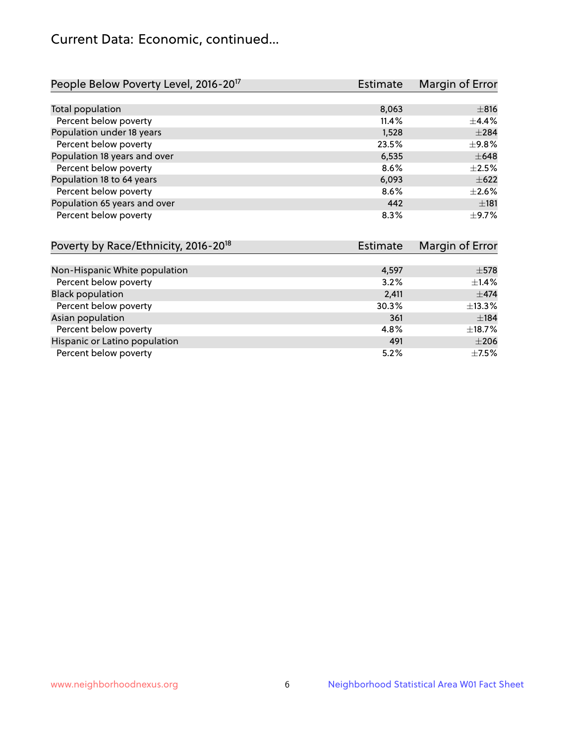# Current Data: Economic, continued...

| People Below Poverty Level, 2016-20 <sup>17</sup> | <b>Estimate</b> | Margin of Error |
|---------------------------------------------------|-----------------|-----------------|
|                                                   |                 |                 |
| Total population                                  | 8,063           | ±816            |
| Percent below poverty                             | 11.4%           | $+4.4%$         |
| Population under 18 years                         | 1,528           | $\pm 284$       |
| Percent below poverty                             | 23.5%           | $\pm$ 9.8%      |
| Population 18 years and over                      | 6,535           | $\pm 648$       |
| Percent below poverty                             | 8.6%            | $\pm 2.5\%$     |
| Population 18 to 64 years                         | 6,093           | $\pm 622$       |
| Percent below poverty                             | 8.6%            | $\pm 2.6\%$     |
| Population 65 years and over                      | 442             | ±181            |
| Percent below poverty                             | 8.3%            | $\pm$ 9.7%      |

| Poverty by Race/Ethnicity, 2016-20 <sup>18</sup> | <b>Estimate</b> | Margin of Error |
|--------------------------------------------------|-----------------|-----------------|
|                                                  |                 |                 |
| Non-Hispanic White population                    | 4,597           | $\pm$ 578       |
| Percent below poverty                            | 3.2%            | $\pm$ 1.4%      |
| <b>Black population</b>                          | 2,411           | $\pm$ 474       |
| Percent below poverty                            | 30.3%           | ±13.3%          |
| Asian population                                 | 361             | ±184            |
| Percent below poverty                            | 4.8%            | $\pm$ 18.7%     |
| Hispanic or Latino population                    | 491             | $\pm 206$       |
| Percent below poverty                            | 5.2%            | $\pm$ 7.5%      |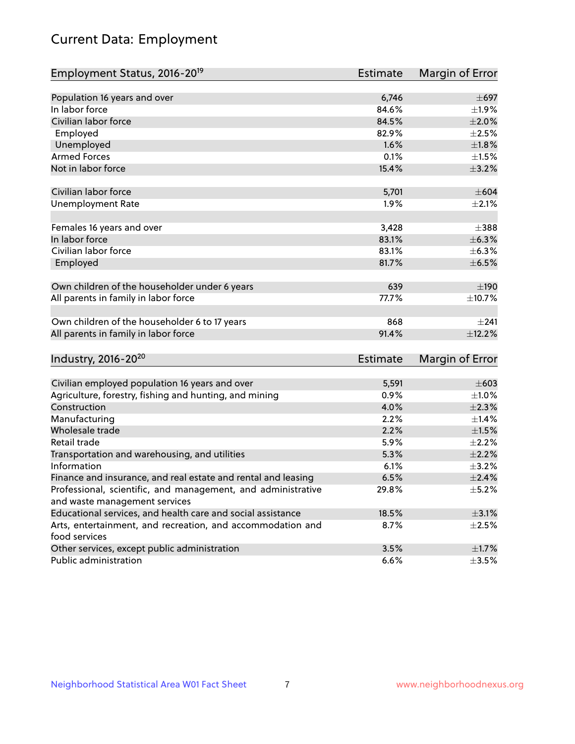# Current Data: Employment

| Employment Status, 2016-20 <sup>19</sup>                                    | <b>Estimate</b> | Margin of Error |
|-----------------------------------------------------------------------------|-----------------|-----------------|
|                                                                             |                 |                 |
| Population 16 years and over                                                | 6,746           | $\pm 697$       |
| In labor force                                                              | 84.6%           | $\pm$ 1.9%      |
| Civilian labor force                                                        | 84.5%           | $\pm 2.0\%$     |
| Employed                                                                    | 82.9%           | $\pm 2.5\%$     |
| Unemployed                                                                  | 1.6%            | $\pm 1.8\%$     |
| <b>Armed Forces</b>                                                         | 0.1%            | $\pm1.5\%$      |
| Not in labor force                                                          | 15.4%           | $\pm$ 3.2%      |
| Civilian labor force                                                        | 5,701           | $\pm 604$       |
| <b>Unemployment Rate</b>                                                    | 1.9%            | $\pm 2.1\%$     |
|                                                                             |                 |                 |
| Females 16 years and over                                                   | 3,428           | $\pm$ 388       |
| In labor force                                                              | 83.1%           | $\pm$ 6.3%      |
| Civilian labor force                                                        | 83.1%           | $\pm$ 6.3%      |
| Employed                                                                    | 81.7%           | $\pm$ 6.5%      |
|                                                                             |                 |                 |
| Own children of the householder under 6 years                               | 639             | $\pm 190$       |
| All parents in family in labor force                                        | 77.7%           | ±10.7%          |
| Own children of the householder 6 to 17 years                               | 868             | $+241$          |
| All parents in family in labor force                                        | 91.4%           | ±12.2%          |
|                                                                             |                 |                 |
| Industry, 2016-20 <sup>20</sup>                                             | <b>Estimate</b> | Margin of Error |
|                                                                             |                 | $\pm 603$       |
| Civilian employed population 16 years and over                              | 5,591<br>0.9%   | $\pm 1.0\%$     |
| Agriculture, forestry, fishing and hunting, and mining                      |                 |                 |
| Construction                                                                | 4.0%            | $\pm 2.3\%$     |
| Manufacturing                                                               | 2.2%            | $\pm$ 1.4%      |
| Wholesale trade                                                             | 2.2%            | $\pm1.5\%$      |
| Retail trade                                                                | 5.9%            | $\pm 2.2\%$     |
| Transportation and warehousing, and utilities                               | 5.3%            | $\pm 2.2\%$     |
| Information                                                                 | 6.1%            | $\pm$ 3.2%      |
| Finance and insurance, and real estate and rental and leasing               | 6.5%            | $\pm 2.4\%$     |
| Professional, scientific, and management, and administrative                | 29.8%           | $\pm$ 5.2%      |
| and waste management services                                               |                 |                 |
| Educational services, and health care and social assistance                 | 18.5%           | $\pm$ 3.1%      |
| Arts, entertainment, and recreation, and accommodation and<br>food services | 8.7%            | $\pm 2.5\%$     |
| Other services, except public administration                                | 3.5%            | $\pm$ 1.7%      |
| Public administration                                                       | 6.6%            | $\pm$ 3.5%      |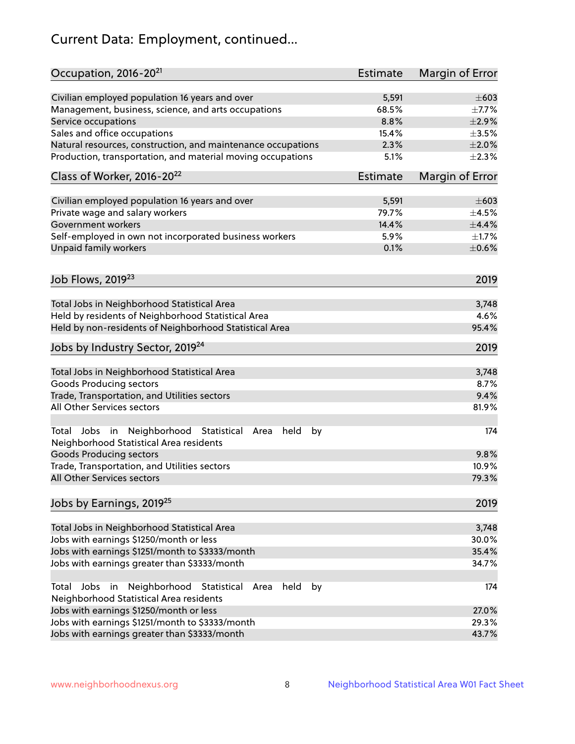# Current Data: Employment, continued...

| Occupation, 2016-20 <sup>21</sup>                                                                                | <b>Estimate</b> | Margin of Error |
|------------------------------------------------------------------------------------------------------------------|-----------------|-----------------|
| Civilian employed population 16 years and over                                                                   | 5,591           | $\pm 603$       |
| Management, business, science, and arts occupations                                                              | 68.5%           | $\pm$ 7.7%      |
| Service occupations                                                                                              | 8.8%            | $\pm 2.9\%$     |
| Sales and office occupations                                                                                     | 15.4%           | $\pm 3.5\%$     |
| Natural resources, construction, and maintenance occupations                                                     | 2.3%            | $\pm 2.0\%$     |
| Production, transportation, and material moving occupations                                                      | 5.1%            | $\pm 2.3\%$     |
| Class of Worker, 2016-20 <sup>22</sup>                                                                           | Estimate        | Margin of Error |
| Civilian employed population 16 years and over                                                                   | 5,591           | $\pm 603$       |
| Private wage and salary workers                                                                                  | 79.7%           | $\pm 4.5\%$     |
| Government workers                                                                                               | 14.4%           | $\pm$ 4.4%      |
| Self-employed in own not incorporated business workers                                                           | 5.9%            | $\pm 1.7\%$     |
| Unpaid family workers                                                                                            | 0.1%            | $\pm$ 0.6%      |
| Job Flows, 2019 <sup>23</sup>                                                                                    |                 | 2019            |
|                                                                                                                  |                 |                 |
| Total Jobs in Neighborhood Statistical Area                                                                      |                 | 3,748           |
| Held by residents of Neighborhood Statistical Area                                                               |                 | 4.6%            |
| Held by non-residents of Neighborhood Statistical Area                                                           |                 | 95.4%           |
| Jobs by Industry Sector, 2019 <sup>24</sup>                                                                      |                 | 2019            |
| Total Jobs in Neighborhood Statistical Area                                                                      |                 | 3,748           |
| <b>Goods Producing sectors</b>                                                                                   |                 | 8.7%            |
| Trade, Transportation, and Utilities sectors                                                                     |                 | 9.4%            |
| All Other Services sectors                                                                                       |                 | 81.9%           |
| Total Jobs in Neighborhood Statistical<br>held<br>by<br>Area<br>Neighborhood Statistical Area residents          |                 | 174             |
| <b>Goods Producing sectors</b>                                                                                   |                 | 9.8%            |
| Trade, Transportation, and Utilities sectors                                                                     |                 | 10.9%           |
| All Other Services sectors                                                                                       |                 | 79.3%           |
| Jobs by Earnings, 2019 <sup>25</sup>                                                                             |                 | 2019            |
| Total Jobs in Neighborhood Statistical Area                                                                      |                 | 3,748           |
| Jobs with earnings \$1250/month or less                                                                          |                 | 30.0%           |
| Jobs with earnings \$1251/month to \$3333/month                                                                  |                 | 35.4%           |
| Jobs with earnings greater than \$3333/month                                                                     |                 | 34.7%           |
| Neighborhood Statistical<br>Jobs<br>in<br>held<br>by<br>Total<br>Area<br>Neighborhood Statistical Area residents |                 | 174             |
| Jobs with earnings \$1250/month or less                                                                          |                 | 27.0%           |
| Jobs with earnings \$1251/month to \$3333/month                                                                  |                 | 29.3%           |
| Jobs with earnings greater than \$3333/month                                                                     |                 | 43.7%           |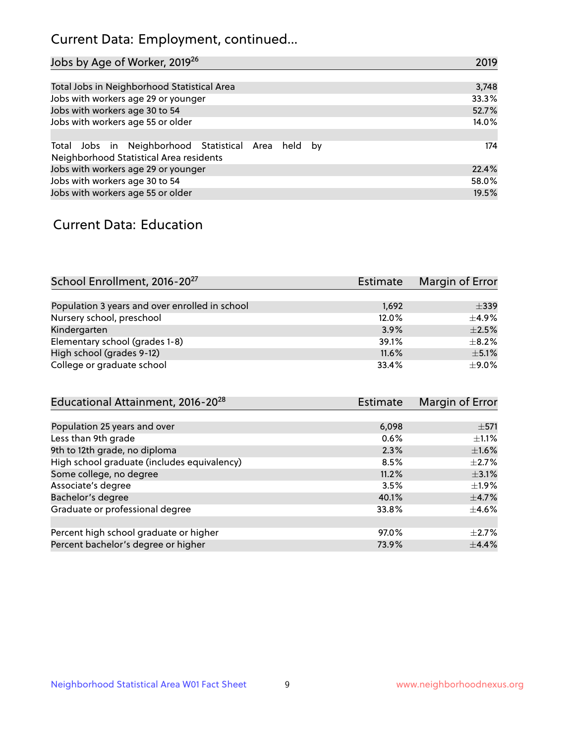# Current Data: Employment, continued...

| Jobs by Age of Worker, 2019 <sup>26</sup>                                                      | 2019  |
|------------------------------------------------------------------------------------------------|-------|
|                                                                                                |       |
| Total Jobs in Neighborhood Statistical Area                                                    | 3,748 |
| Jobs with workers age 29 or younger                                                            | 33.3% |
| Jobs with workers age 30 to 54                                                                 | 52.7% |
| Jobs with workers age 55 or older                                                              | 14.0% |
|                                                                                                |       |
| Total Jobs in Neighborhood Statistical Area held by<br>Neighborhood Statistical Area residents | 174   |
| Jobs with workers age 29 or younger                                                            | 22.4% |
| Jobs with workers age 30 to 54                                                                 | 58.0% |
| Jobs with workers age 55 or older                                                              | 19.5% |

### Current Data: Education

| School Enrollment, 2016-20 <sup>27</sup>       | <b>Estimate</b> | Margin of Error |
|------------------------------------------------|-----------------|-----------------|
|                                                |                 |                 |
| Population 3 years and over enrolled in school | 1,692           | $\pm$ 339       |
| Nursery school, preschool                      | 12.0%           | $+4.9%$         |
| Kindergarten                                   | 3.9%            | $\pm 2.5\%$     |
| Elementary school (grades 1-8)                 | 39.1%           | $\pm$ 8.2%      |
| High school (grades 9-12)                      | 11.6%           | $\pm$ 5.1%      |
| College or graduate school                     | 33.4%           | ±9.0%           |

| <b>Estimate</b> | Margin of Error |
|-----------------|-----------------|
|                 |                 |
| 6,098           | $\pm$ 571       |
| 0.6%            | $\pm 1.1\%$     |
| 2.3%            | $\pm1.6\%$      |
| 8.5%            | $\pm 2.7\%$     |
| 11.2%           | $\pm$ 3.1%      |
| 3.5%            | $\pm 1.9\%$     |
| 40.1%           | $\pm$ 4.7%      |
| 33.8%           | $\pm$ 4.6%      |
|                 |                 |
| 97.0%           | $+2.7%$         |
| 73.9%           | ±4.4%           |
|                 |                 |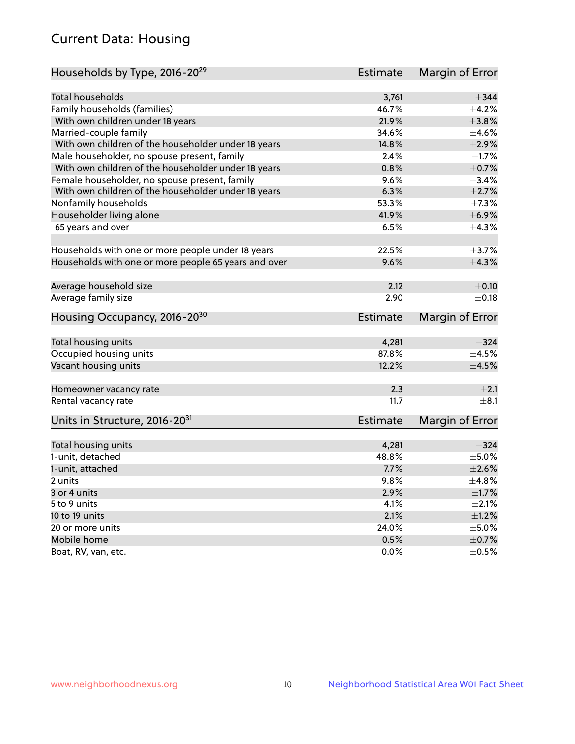# Current Data: Housing

| Households by Type, 2016-20 <sup>29</sup>            | <b>Estimate</b> | Margin of Error |
|------------------------------------------------------|-----------------|-----------------|
|                                                      |                 |                 |
| Total households                                     | 3,761           | $\pm$ 344       |
| Family households (families)                         | 46.7%           | $+4.2%$         |
| With own children under 18 years                     | 21.9%           | ±3.8%           |
| Married-couple family                                | 34.6%           | $\pm 4.6\%$     |
| With own children of the householder under 18 years  | 14.8%           | $\pm 2.9\%$     |
| Male householder, no spouse present, family          | 2.4%            | $\pm$ 1.7%      |
| With own children of the householder under 18 years  | 0.8%            | $\pm$ 0.7%      |
| Female householder, no spouse present, family        | 9.6%            | $\pm$ 3.4%      |
| With own children of the householder under 18 years  | 6.3%            | $\pm 2.7\%$     |
| Nonfamily households                                 | 53.3%           | $\pm$ 7.3%      |
| Householder living alone                             | 41.9%           | ±6.9%           |
| 65 years and over                                    | 6.5%            | ±4.3%           |
|                                                      |                 |                 |
| Households with one or more people under 18 years    | 22.5%           | $\pm$ 3.7%      |
| Households with one or more people 65 years and over | 9.6%            | ±4.3%           |
| Average household size                               | 2.12            | $\pm$ 0.10      |
| Average family size                                  | 2.90            | $\pm$ 0.18      |
|                                                      |                 |                 |
| Housing Occupancy, 2016-20 <sup>30</sup>             | <b>Estimate</b> | Margin of Error |
| Total housing units                                  | 4,281           | $\pm$ 324       |
| Occupied housing units                               | 87.8%           | $\pm$ 4.5%      |
| Vacant housing units                                 | 12.2%           | $\pm 4.5\%$     |
|                                                      |                 |                 |
| Homeowner vacancy rate                               | 2.3             | $\pm 2.1$       |
| Rental vacancy rate                                  | 11.7            | $+8.1$          |
| Units in Structure, 2016-20 <sup>31</sup>            | Estimate        | Margin of Error |
|                                                      |                 |                 |
| Total housing units                                  | 4,281           | $\pm$ 324       |
| 1-unit, detached                                     | 48.8%           | $\pm$ 5.0%      |
| 1-unit, attached                                     | 7.7%            | $\pm 2.6\%$     |
| 2 units                                              | 9.8%            | ±4.8%           |
| 3 or 4 units                                         | 2.9%            | $\pm1.7\%$      |
| 5 to 9 units                                         | 4.1%            | $\pm 2.1\%$     |
| 10 to 19 units                                       | 2.1%            | ±1.2%           |
| 20 or more units                                     | 24.0%           | $\pm$ 5.0%      |
| Mobile home                                          | 0.5%            | $\pm$ 0.7%      |
| Boat, RV, van, etc.                                  | $0.0\%$         | $\pm$ 0.5%      |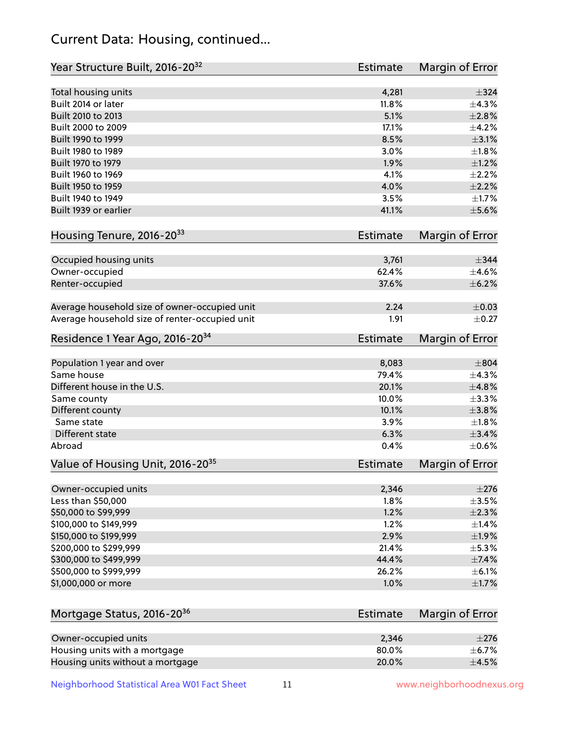# Current Data: Housing, continued...

| Year Structure Built, 2016-20 <sup>32</sup>           | <b>Estimate</b> | <b>Margin of Error</b>  |
|-------------------------------------------------------|-----------------|-------------------------|
| Total housing units                                   | 4,281           | $\pm$ 324               |
| Built 2014 or later                                   | 11.8%           | ±4.3%                   |
| Built 2010 to 2013                                    | 5.1%            | $\pm 2.8\%$             |
| Built 2000 to 2009                                    | 17.1%           | ±4.2%                   |
| Built 1990 to 1999                                    | 8.5%            | $\pm$ 3.1%              |
| Built 1980 to 1989                                    | 3.0%            | $\pm 1.8\%$             |
| Built 1970 to 1979                                    | 1.9%            | $\pm 1.2\%$             |
| Built 1960 to 1969                                    | 4.1%            | $\pm 2.2\%$             |
| Built 1950 to 1959                                    | 4.0%            | $\pm 2.2\%$             |
| Built 1940 to 1949                                    | 3.5%            | $\pm1.7\%$              |
| Built 1939 or earlier                                 | 41.1%           | $\pm$ 5.6%              |
| Housing Tenure, 2016-2033                             | <b>Estimate</b> | <b>Margin of Error</b>  |
|                                                       |                 |                         |
| Occupied housing units                                | 3,761           | $\pm$ 344               |
| Owner-occupied                                        | 62.4%           | $\pm$ 4.6%              |
| Renter-occupied                                       | 37.6%           | $\pm$ 6.2%              |
| Average household size of owner-occupied unit         | 2.24            | $\pm 0.03$              |
| Average household size of renter-occupied unit        | 1.91            | $\pm$ 0.27              |
| Residence 1 Year Ago, 2016-20 <sup>34</sup>           | <b>Estimate</b> | <b>Margin of Error</b>  |
| Population 1 year and over                            | 8,083           | $\pm$ 804               |
| Same house                                            | 79.4%           | $\pm$ 4.3%              |
| Different house in the U.S.                           | 20.1%           | ±4.8%                   |
| Same county                                           | 10.0%           | ±3.3%                   |
| Different county                                      | 10.1%           | $\pm$ 3.8%              |
| Same state                                            | 3.9%            | $\pm$ 1.8%              |
| Different state                                       | 6.3%            | $\pm$ 3.4%              |
| Abroad                                                | 0.4%            | $\pm$ 0.6%              |
| Value of Housing Unit, 2016-20 <sup>35</sup>          | <b>Estimate</b> | Margin of Error         |
| Owner-occupied units                                  | 2,346           | $\pm 276$               |
| Less than \$50,000                                    | 1.8%            | $\pm$ 3.5%              |
| \$50,000 to \$99,999                                  | 1.2%            | $\pm 2.3\%$             |
| \$100,000 to \$149,999                                | 1.2%            | $\pm$ 1.4%              |
| \$150,000 to \$199,999                                | 2.9%            | $\pm$ 1.9%              |
| \$200,000 to \$299,999                                | 21.4%           | ±5.3%                   |
| \$300,000 to \$499,999                                | 44.4%           | $\pm$ 7.4%              |
| \$500,000 to \$999,999                                | 26.2%           | $\pm$ 6.1%              |
| \$1,000,000 or more                                   | 1.0%            | $\pm1.7\%$              |
| Mortgage Status, 2016-20 <sup>36</sup>                | <b>Estimate</b> | Margin of Error         |
|                                                       |                 |                         |
| Owner-occupied units<br>Housing units with a mortgage | 2,346<br>80.0%  | $\pm 276$<br>$\pm$ 6.7% |
|                                                       |                 |                         |

Neighborhood Statistical Area W01 Fact Sheet 11 11 www.neighborhoodnexus.org

Housing units without a mortgage  $\pm 4.5\%$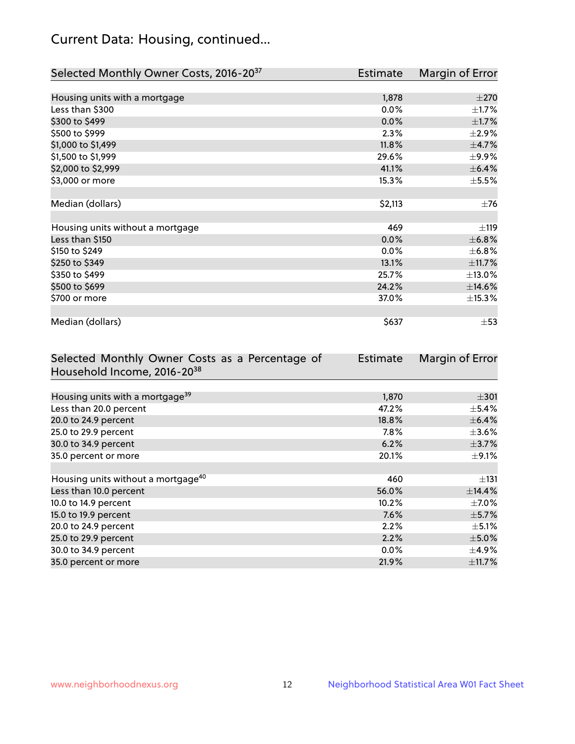# Current Data: Housing, continued...

| Selected Monthly Owner Costs, 2016-20 <sup>37</sup> | Estimate | Margin of Error |
|-----------------------------------------------------|----------|-----------------|
|                                                     |          |                 |
| Housing units with a mortgage                       | 1,878    | $\pm 270$       |
| Less than \$300                                     | 0.0%     | $\pm 1.7\%$     |
| \$300 to \$499                                      | 0.0%     | $\pm$ 1.7%      |
| \$500 to \$999                                      | 2.3%     | $\pm 2.9\%$     |
| \$1,000 to \$1,499                                  | 11.8%    | $\pm$ 4.7%      |
| \$1,500 to \$1,999                                  | 29.6%    | $\pm$ 9.9%      |
| \$2,000 to \$2,999                                  | 41.1%    | $\pm$ 6.4%      |
| \$3,000 or more                                     | 15.3%    | $\pm$ 5.5%      |
|                                                     |          |                 |
| Median (dollars)                                    | \$2,113  | $\pm$ 76        |
|                                                     |          |                 |
| Housing units without a mortgage                    | 469      | ±119            |
| Less than \$150                                     | 0.0%     | ±6.8%           |
| \$150 to \$249                                      | 0.0%     | $\pm$ 6.8%      |
| \$250 to \$349                                      | 13.1%    | ±11.7%          |
| \$350 to \$499                                      | 25.7%    | ±13.0%          |
| \$500 to \$699                                      | 24.2%    | ±14.6%          |
| \$700 or more                                       | 37.0%    | ±15.3%          |
|                                                     |          |                 |
| Median (dollars)                                    | \$637    | $\pm$ 53        |

| Selected Monthly Owner Costs as a Percentage of | <b>Estimate</b> | Margin of Error |
|-------------------------------------------------|-----------------|-----------------|
| Household Income, 2016-20 <sup>38</sup>         |                 |                 |
|                                                 |                 |                 |
| Housing units with a mortgage <sup>39</sup>     | 1,870           | $\pm$ 301       |
| Less than 20.0 percent                          | 47.2%           | $\pm$ 5.4%      |
| 20.0 to 24.9 percent                            | 18.8%           | $\pm$ 6.4%      |
| 25.0 to 29.9 percent                            | $7.8\%$         | $\pm 3.6\%$     |
| 30.0 to 34.9 percent                            | 6.2%            | $\pm$ 3.7%      |
| 35.0 percent or more                            | 20.1%           | $\pm$ 9.1%      |
|                                                 |                 |                 |
| Housing units without a mortgage <sup>40</sup>  | 460             | $\pm$ 131       |
| Less than 10.0 percent                          | 56.0%           | $\pm$ 14.4%     |
| 10.0 to 14.9 percent                            | 10.2%           | $\pm$ 7.0%      |
| 15.0 to 19.9 percent                            | 7.6%            | $\pm$ 5.7%      |
| 20.0 to 24.9 percent                            | 2.2%            | $\pm$ 5.1%      |
| 25.0 to 29.9 percent                            | 2.2%            | $\pm$ 5.0%      |
| 30.0 to 34.9 percent                            | $0.0\%$         | $\pm$ 4.9%      |
| 35.0 percent or more                            | 21.9%           | $\pm$ 11.7%     |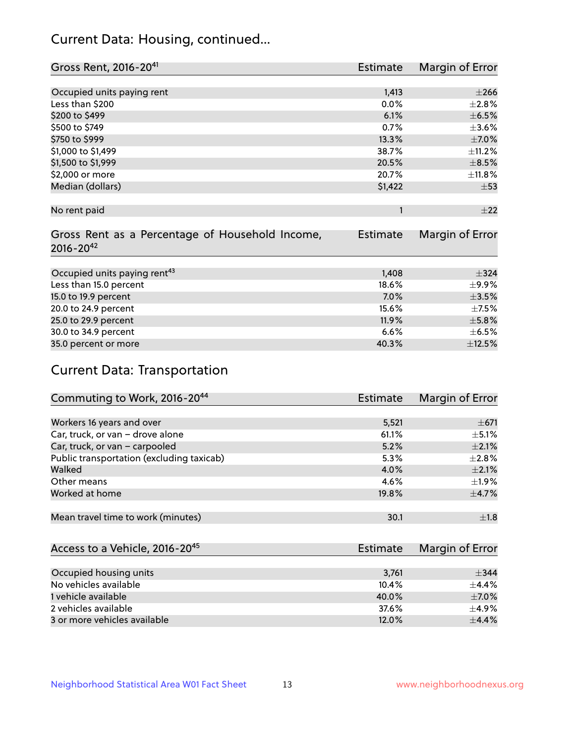# Current Data: Housing, continued...

| Gross Rent, 2016-20 <sup>41</sup>               | <b>Estimate</b> | Margin of Error |
|-------------------------------------------------|-----------------|-----------------|
|                                                 |                 |                 |
| Occupied units paying rent                      | 1,413           | $\pm 266$       |
| Less than \$200                                 | 0.0%            | $\pm 2.8\%$     |
| \$200 to \$499                                  | 6.1%            | $\pm$ 6.5%      |
| \$500 to \$749                                  | 0.7%            | $\pm 3.6\%$     |
| \$750 to \$999                                  | 13.3%           | $\pm$ 7.0%      |
| \$1,000 to \$1,499                              | 38.7%           | ±11.2%          |
| \$1,500 to \$1,999                              | 20.5%           | $\pm$ 8.5%      |
| \$2,000 or more                                 | 20.7%           | ±11.8%          |
| Median (dollars)                                | \$1,422         | $\pm$ 53        |
|                                                 |                 |                 |
| No rent paid                                    | 1               | ±22             |
| Gross Rent as a Percentage of Household Income, | <b>Estimate</b> | Margin of Error |
| $2016 - 20^{42}$                                |                 |                 |
|                                                 |                 |                 |
| Occupied units paying rent <sup>43</sup>        | 1,408           | $\pm$ 324       |
| Less than 15.0 percent                          | 18.6%           | $\pm$ 9.9%      |
| 15.0 to 19.9 percent                            | 7.0%            | $\pm$ 3.5%      |
| 20.0 to 24.9 percent                            | 15.6%           | $\pm$ 7.5%      |
| 25.0 to 29.9 percent                            | 11.9%           | $\pm$ 5.8%      |
| 30.0 to 34.9 percent                            | 6.6%            | $\pm$ 6.5%      |
| 35.0 percent or more                            | 40.3%           | ±12.5%          |

# Current Data: Transportation

| Commuting to Work, 2016-20 <sup>44</sup>  | <b>Estimate</b> | Margin of Error |
|-------------------------------------------|-----------------|-----------------|
|                                           |                 |                 |
| Workers 16 years and over                 | 5,521           | $\pm$ 671       |
| Car, truck, or van - drove alone          | 61.1%           | $\pm$ 5.1%      |
| Car, truck, or van - carpooled            | 5.2%            | $\pm 2.1\%$     |
| Public transportation (excluding taxicab) | 5.3%            | $\pm 2.8\%$     |
| Walked                                    | 4.0%            | $\pm 2.1\%$     |
| Other means                               | 4.6%            | $\pm 1.9\%$     |
| Worked at home                            | 19.8%           | $\pm$ 4.7%      |
|                                           |                 |                 |
| Mean travel time to work (minutes)        | 30.1            | $\pm 1.8$       |

| Access to a Vehicle, 2016-20 <sup>45</sup> | Estimate | Margin of Error |
|--------------------------------------------|----------|-----------------|
|                                            |          |                 |
| Occupied housing units                     | 3,761    | $\pm$ 344       |
| No vehicles available                      | 10.4%    | $+4.4%$         |
| 1 vehicle available                        | 40.0%    | $\pm$ 7.0%      |
| 2 vehicles available                       | 37.6%    | $\pm$ 4.9%      |
| 3 or more vehicles available               | 12.0%    | $+4.4%$         |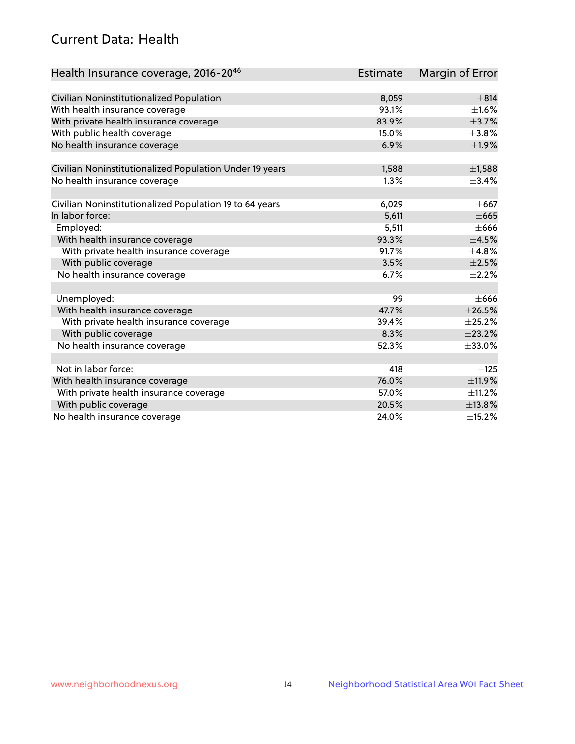# Current Data: Health

| Health Insurance coverage, 2016-2046                    | <b>Estimate</b> | Margin of Error |
|---------------------------------------------------------|-----------------|-----------------|
|                                                         |                 |                 |
| Civilian Noninstitutionalized Population                | 8,059           | $\pm$ 814       |
| With health insurance coverage                          | 93.1%           | $\pm 1.6\%$     |
| With private health insurance coverage                  | 83.9%           | $\pm$ 3.7%      |
| With public health coverage                             | 15.0%           | $\pm$ 3.8%      |
| No health insurance coverage                            | 6.9%            | ±1.9%           |
| Civilian Noninstitutionalized Population Under 19 years | 1,588           | $\pm$ 1,588     |
| No health insurance coverage                            | 1.3%            | $\pm$ 3.4%      |
|                                                         |                 |                 |
| Civilian Noninstitutionalized Population 19 to 64 years | 6,029           | $\pm$ 667       |
| In labor force:                                         | 5,611           | $\pm 665$       |
| Employed:                                               | 5,511           | $\pm 666$       |
| With health insurance coverage                          | 93.3%           | $\pm 4.5\%$     |
| With private health insurance coverage                  | 91.7%           | ±4.8%           |
| With public coverage                                    | 3.5%            | $\pm 2.5\%$     |
| No health insurance coverage                            | 6.7%            | $\pm 2.2\%$     |
|                                                         |                 |                 |
| Unemployed:                                             | 99              | $\pm 666$       |
| With health insurance coverage                          | 47.7%           | $\pm 26.5\%$    |
| With private health insurance coverage                  | 39.4%           | $\pm 25.2\%$    |
| With public coverage                                    | 8.3%            | ±23.2%          |
| No health insurance coverage                            | 52.3%           | ±33.0%          |
|                                                         |                 |                 |
| Not in labor force:                                     | 418             | ±125            |
| With health insurance coverage                          | 76.0%           | ±11.9%          |
| With private health insurance coverage                  | 57.0%           | $\pm$ 11.2%     |
| With public coverage                                    | 20.5%           | ±13.8%          |
| No health insurance coverage                            | 24.0%           | ±15.2%          |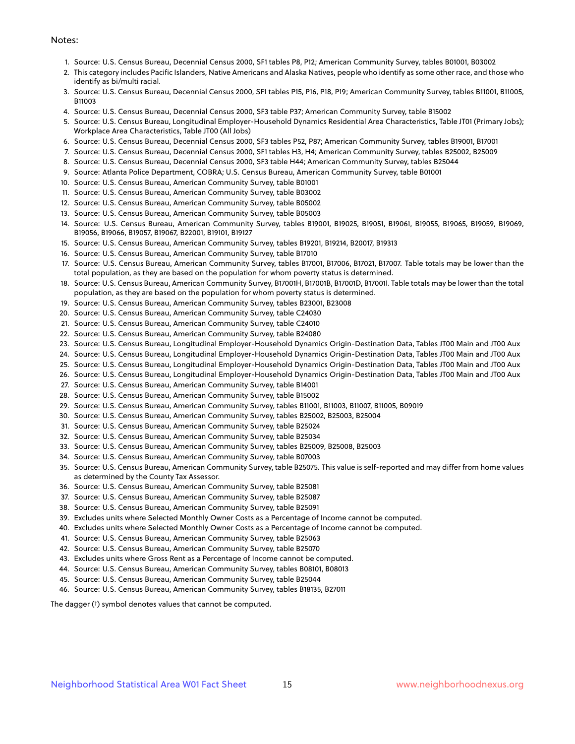#### Notes:

- 1. Source: U.S. Census Bureau, Decennial Census 2000, SF1 tables P8, P12; American Community Survey, tables B01001, B03002
- 2. This category includes Pacific Islanders, Native Americans and Alaska Natives, people who identify as some other race, and those who identify as bi/multi racial.
- 3. Source: U.S. Census Bureau, Decennial Census 2000, SF1 tables P15, P16, P18, P19; American Community Survey, tables B11001, B11005, B11003
- 4. Source: U.S. Census Bureau, Decennial Census 2000, SF3 table P37; American Community Survey, table B15002
- 5. Source: U.S. Census Bureau, Longitudinal Employer-Household Dynamics Residential Area Characteristics, Table JT01 (Primary Jobs); Workplace Area Characteristics, Table JT00 (All Jobs)
- 6. Source: U.S. Census Bureau, Decennial Census 2000, SF3 tables P52, P87; American Community Survey, tables B19001, B17001
- 7. Source: U.S. Census Bureau, Decennial Census 2000, SF1 tables H3, H4; American Community Survey, tables B25002, B25009
- 8. Source: U.S. Census Bureau, Decennial Census 2000, SF3 table H44; American Community Survey, tables B25044
- 9. Source: Atlanta Police Department, COBRA; U.S. Census Bureau, American Community Survey, table B01001
- 10. Source: U.S. Census Bureau, American Community Survey, table B01001
- 11. Source: U.S. Census Bureau, American Community Survey, table B03002
- 12. Source: U.S. Census Bureau, American Community Survey, table B05002
- 13. Source: U.S. Census Bureau, American Community Survey, table B05003
- 14. Source: U.S. Census Bureau, American Community Survey, tables B19001, B19025, B19051, B19061, B19055, B19065, B19059, B19069, B19056, B19066, B19057, B19067, B22001, B19101, B19127
- 15. Source: U.S. Census Bureau, American Community Survey, tables B19201, B19214, B20017, B19313
- 16. Source: U.S. Census Bureau, American Community Survey, table B17010
- 17. Source: U.S. Census Bureau, American Community Survey, tables B17001, B17006, B17021, B17007. Table totals may be lower than the total population, as they are based on the population for whom poverty status is determined.
- 18. Source: U.S. Census Bureau, American Community Survey, B17001H, B17001B, B17001D, B17001I. Table totals may be lower than the total population, as they are based on the population for whom poverty status is determined.
- 19. Source: U.S. Census Bureau, American Community Survey, tables B23001, B23008
- 20. Source: U.S. Census Bureau, American Community Survey, table C24030
- 21. Source: U.S. Census Bureau, American Community Survey, table C24010
- 22. Source: U.S. Census Bureau, American Community Survey, table B24080
- 23. Source: U.S. Census Bureau, Longitudinal Employer-Household Dynamics Origin-Destination Data, Tables JT00 Main and JT00 Aux
- 24. Source: U.S. Census Bureau, Longitudinal Employer-Household Dynamics Origin-Destination Data, Tables JT00 Main and JT00 Aux
- 25. Source: U.S. Census Bureau, Longitudinal Employer-Household Dynamics Origin-Destination Data, Tables JT00 Main and JT00 Aux
- 26. Source: U.S. Census Bureau, Longitudinal Employer-Household Dynamics Origin-Destination Data, Tables JT00 Main and JT00 Aux
- 27. Source: U.S. Census Bureau, American Community Survey, table B14001
- 28. Source: U.S. Census Bureau, American Community Survey, table B15002
- 29. Source: U.S. Census Bureau, American Community Survey, tables B11001, B11003, B11007, B11005, B09019
- 30. Source: U.S. Census Bureau, American Community Survey, tables B25002, B25003, B25004
- 31. Source: U.S. Census Bureau, American Community Survey, table B25024
- 32. Source: U.S. Census Bureau, American Community Survey, table B25034
- 33. Source: U.S. Census Bureau, American Community Survey, tables B25009, B25008, B25003
- 34. Source: U.S. Census Bureau, American Community Survey, table B07003
- 35. Source: U.S. Census Bureau, American Community Survey, table B25075. This value is self-reported and may differ from home values as determined by the County Tax Assessor.
- 36. Source: U.S. Census Bureau, American Community Survey, table B25081
- 37. Source: U.S. Census Bureau, American Community Survey, table B25087
- 38. Source: U.S. Census Bureau, American Community Survey, table B25091
- 39. Excludes units where Selected Monthly Owner Costs as a Percentage of Income cannot be computed.
- 40. Excludes units where Selected Monthly Owner Costs as a Percentage of Income cannot be computed.
- 41. Source: U.S. Census Bureau, American Community Survey, table B25063
- 42. Source: U.S. Census Bureau, American Community Survey, table B25070
- 43. Excludes units where Gross Rent as a Percentage of Income cannot be computed.
- 44. Source: U.S. Census Bureau, American Community Survey, tables B08101, B08013
- 45. Source: U.S. Census Bureau, American Community Survey, table B25044
- 46. Source: U.S. Census Bureau, American Community Survey, tables B18135, B27011

The dagger (†) symbol denotes values that cannot be computed.